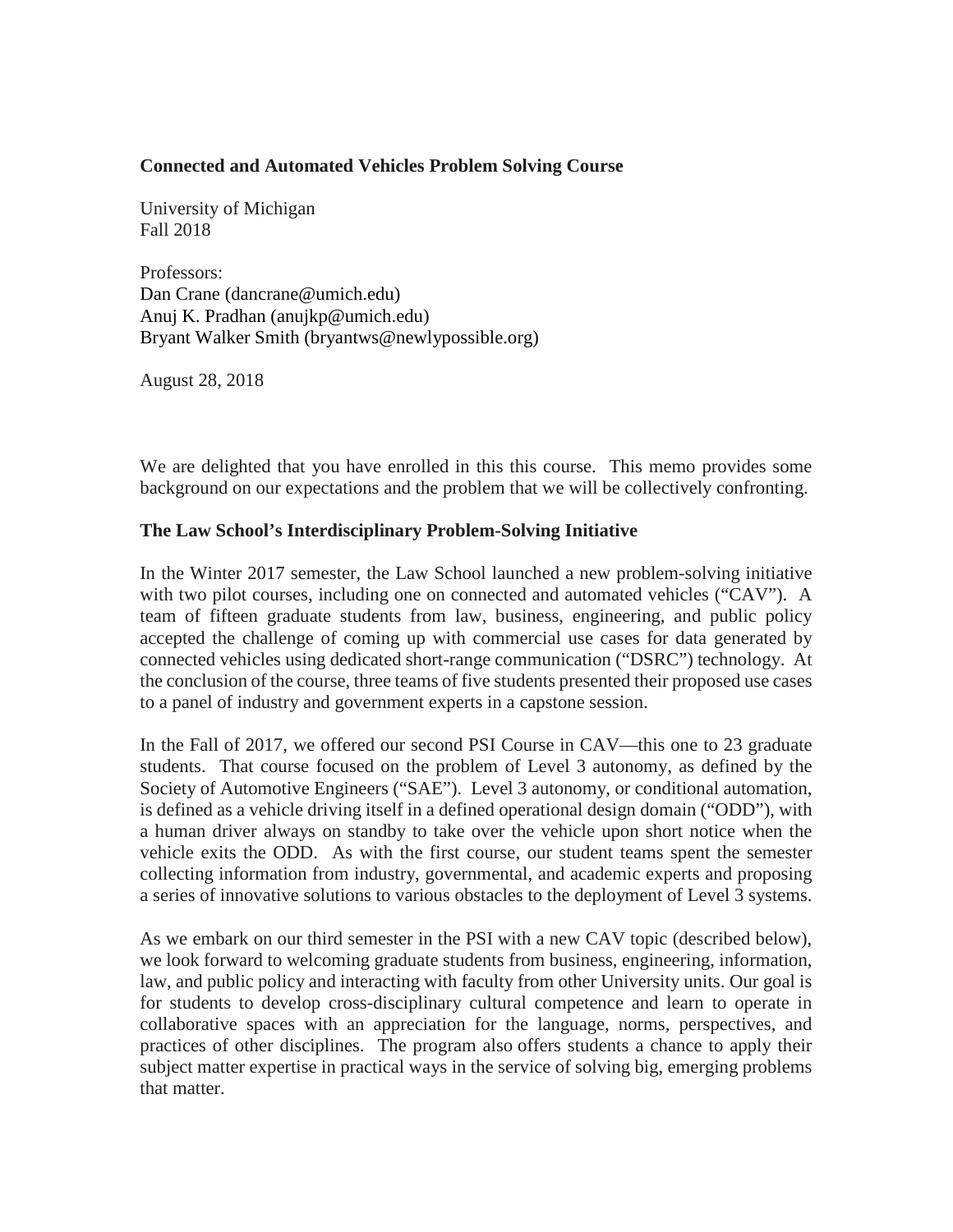# **Connected and Automated Vehicles Problem Solving Course**

University of Michigan Fall 2018

Professors: Dan Crane (dancrane@umich.edu) Anuj K. Pradhan (anujkp@umich.edu) Bryant Walker Smith (bryantws@newlypossible.org)

August 28, 2018

We are delighted that you have enrolled in this this course. This memo provides some background on our expectations and the problem that we will be collectively confronting.

# **The Law School's Interdisciplinary Problem-Solving Initiative**

In the Winter 2017 semester, the Law School launched a new problem-solving initiative with two pilot courses, including one on connected and automated vehicles ("CAV"). A team of fifteen graduate students from law, business, engineering, and public policy accepted the challenge of coming up with commercial use cases for data generated by connected vehicles using dedicated short-range communication ("DSRC") technology. At the conclusion of the course, three teams of five students presented their proposed use cases to a panel of industry and government experts in a capstone session.

In the Fall of 2017, we offered our second PSI Course in CAV—this one to 23 graduate students. That course focused on the problem of Level 3 autonomy, as defined by the Society of Automotive Engineers ("SAE"). Level 3 autonomy, or conditional automation, is defined as a vehicle driving itself in a defined operational design domain ("ODD"), with a human driver always on standby to take over the vehicle upon short notice when the vehicle exits the ODD. As with the first course, our student teams spent the semester collecting information from industry, governmental, and academic experts and proposing a series of innovative solutions to various obstacles to the deployment of Level 3 systems.

As we embark on our third semester in the PSI with a new CAV topic (described below), we look forward to welcoming graduate students from business, engineering, information, law, and public policy and interacting with faculty from other University units. Our goal is for students to develop cross-disciplinary cultural competence and learn to operate in collaborative spaces with an appreciation for the language, norms, perspectives, and practices of other disciplines. The program also offers students a chance to apply their subject matter expertise in practical ways in the service of solving big, emerging problems that matter.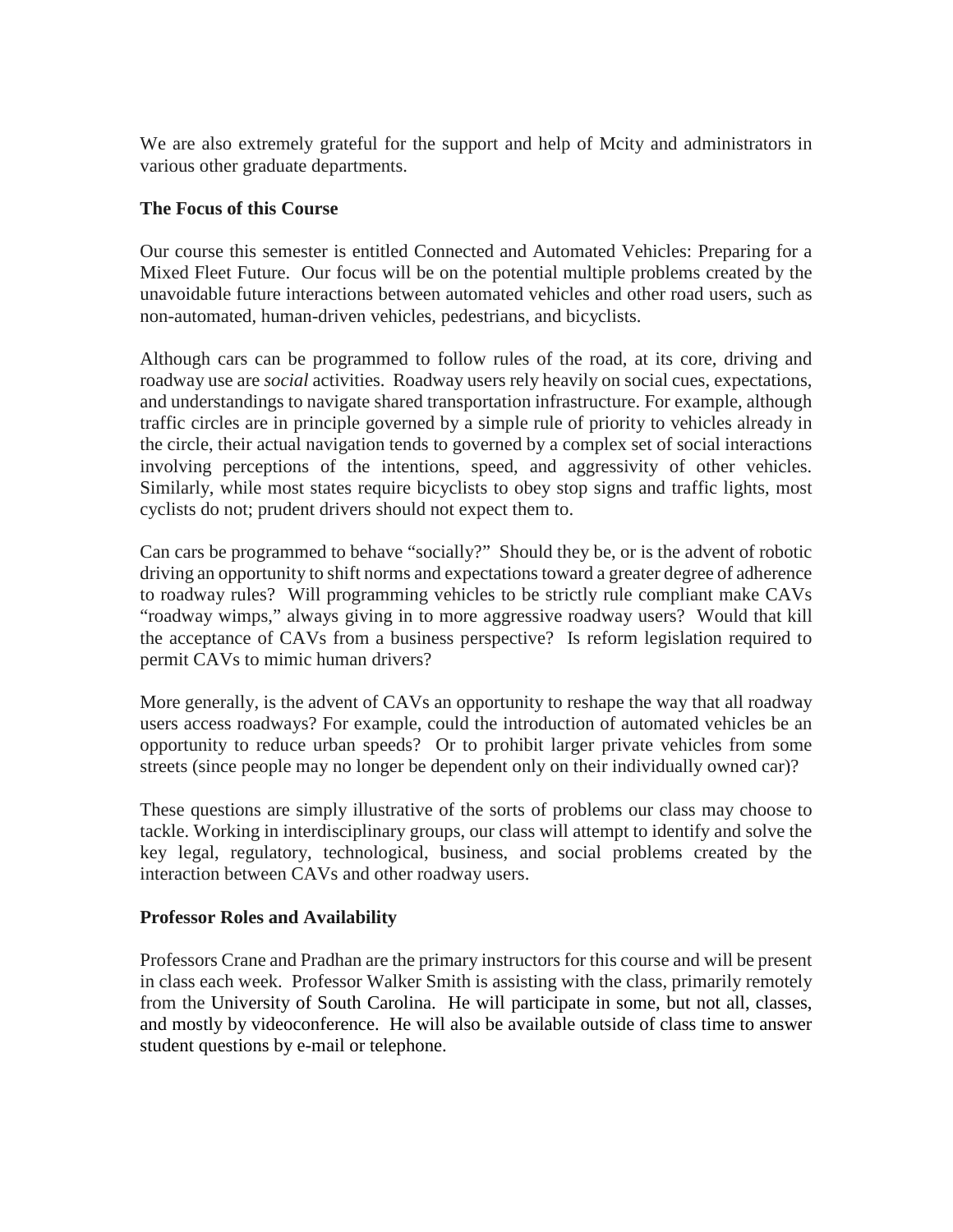We are also extremely grateful for the support and help of Mcity and administrators in various other graduate departments.

# **The Focus of this Course**

Our course this semester is entitled Connected and Automated Vehicles: Preparing for a Mixed Fleet Future. Our focus will be on the potential multiple problems created by the unavoidable future interactions between automated vehicles and other road users, such as non-automated, human-driven vehicles, pedestrians, and bicyclists.

Although cars can be programmed to follow rules of the road, at its core, driving and roadway use are *social* activities. Roadway users rely heavily on social cues, expectations, and understandings to navigate shared transportation infrastructure. For example, although traffic circles are in principle governed by a simple rule of priority to vehicles already in the circle, their actual navigation tends to governed by a complex set of social interactions involving perceptions of the intentions, speed, and aggressivity of other vehicles. Similarly, while most states require bicyclists to obey stop signs and traffic lights, most cyclists do not; prudent drivers should not expect them to.

Can cars be programmed to behave "socially?" Should they be, or is the advent of robotic driving an opportunity to shift norms and expectations toward a greater degree of adherence to roadway rules? Will programming vehicles to be strictly rule compliant make CAVs "roadway wimps," always giving in to more aggressive roadway users? Would that kill the acceptance of CAVs from a business perspective? Is reform legislation required to permit CAVs to mimic human drivers?

More generally, is the advent of CAVs an opportunity to reshape the way that all roadway users access roadways? For example, could the introduction of automated vehicles be an opportunity to reduce urban speeds? Or to prohibit larger private vehicles from some streets (since people may no longer be dependent only on their individually owned car)?

These questions are simply illustrative of the sorts of problems our class may choose to tackle. Working in interdisciplinary groups, our class will attempt to identify and solve the key legal, regulatory, technological, business, and social problems created by the interaction between CAVs and other roadway users.

#### **Professor Roles and Availability**

Professors Crane and Pradhan are the primary instructors for this course and will be present in class each week. Professor Walker Smith is assisting with the class, primarily remotely from the University of South Carolina. He will participate in some, but not all, classes, and mostly by videoconference. He will also be available outside of class time to answer student questions by e-mail or telephone.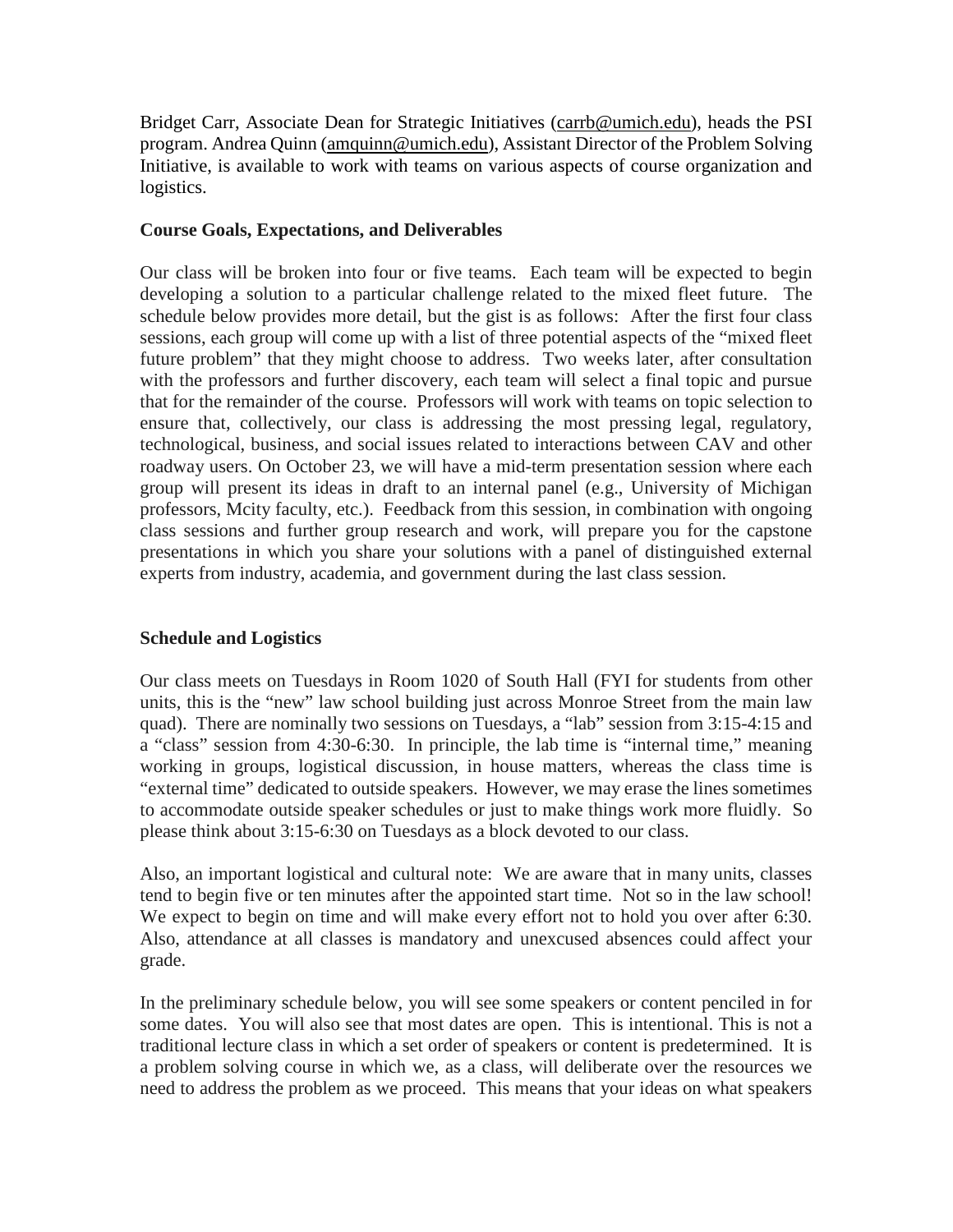Bridget Carr, Associate Dean for Strategic Initiatives [\(carrb@umich.edu\)](mailto:carrb@umich.edu), heads the PSI program. Andrea Quinn [\(amquinn@umich.edu\)](mailto:amquinn@umich.edu), Assistant Director of the Problem Solving Initiative, is available to work with teams on various aspects of course organization and logistics.

# **Course Goals, Expectations, and Deliverables**

Our class will be broken into four or five teams. Each team will be expected to begin developing a solution to a particular challenge related to the mixed fleet future. The schedule below provides more detail, but the gist is as follows: After the first four class sessions, each group will come up with a list of three potential aspects of the "mixed fleet future problem" that they might choose to address. Two weeks later, after consultation with the professors and further discovery, each team will select a final topic and pursue that for the remainder of the course. Professors will work with teams on topic selection to ensure that, collectively, our class is addressing the most pressing legal, regulatory, technological, business, and social issues related to interactions between CAV and other roadway users. On October 23, we will have a mid-term presentation session where each group will present its ideas in draft to an internal panel (e.g., University of Michigan professors, Mcity faculty, etc.). Feedback from this session, in combination with ongoing class sessions and further group research and work, will prepare you for the capstone presentations in which you share your solutions with a panel of distinguished external experts from industry, academia, and government during the last class session.

# **Schedule and Logistics**

Our class meets on Tuesdays in Room 1020 of South Hall (FYI for students from other units, this is the "new" law school building just across Monroe Street from the main law quad). There are nominally two sessions on Tuesdays, a "lab" session from 3:15-4:15 and a "class" session from 4:30-6:30. In principle, the lab time is "internal time," meaning working in groups, logistical discussion, in house matters, whereas the class time is "external time" dedicated to outside speakers. However, we may erase the lines sometimes to accommodate outside speaker schedules or just to make things work more fluidly. So please think about 3:15-6:30 on Tuesdays as a block devoted to our class.

Also, an important logistical and cultural note: We are aware that in many units, classes tend to begin five or ten minutes after the appointed start time. Not so in the law school! We expect to begin on time and will make every effort not to hold you over after 6:30. Also, attendance at all classes is mandatory and unexcused absences could affect your grade.

In the preliminary schedule below, you will see some speakers or content penciled in for some dates. You will also see that most dates are open. This is intentional. This is not a traditional lecture class in which a set order of speakers or content is predetermined. It is a problem solving course in which we, as a class, will deliberate over the resources we need to address the problem as we proceed. This means that your ideas on what speakers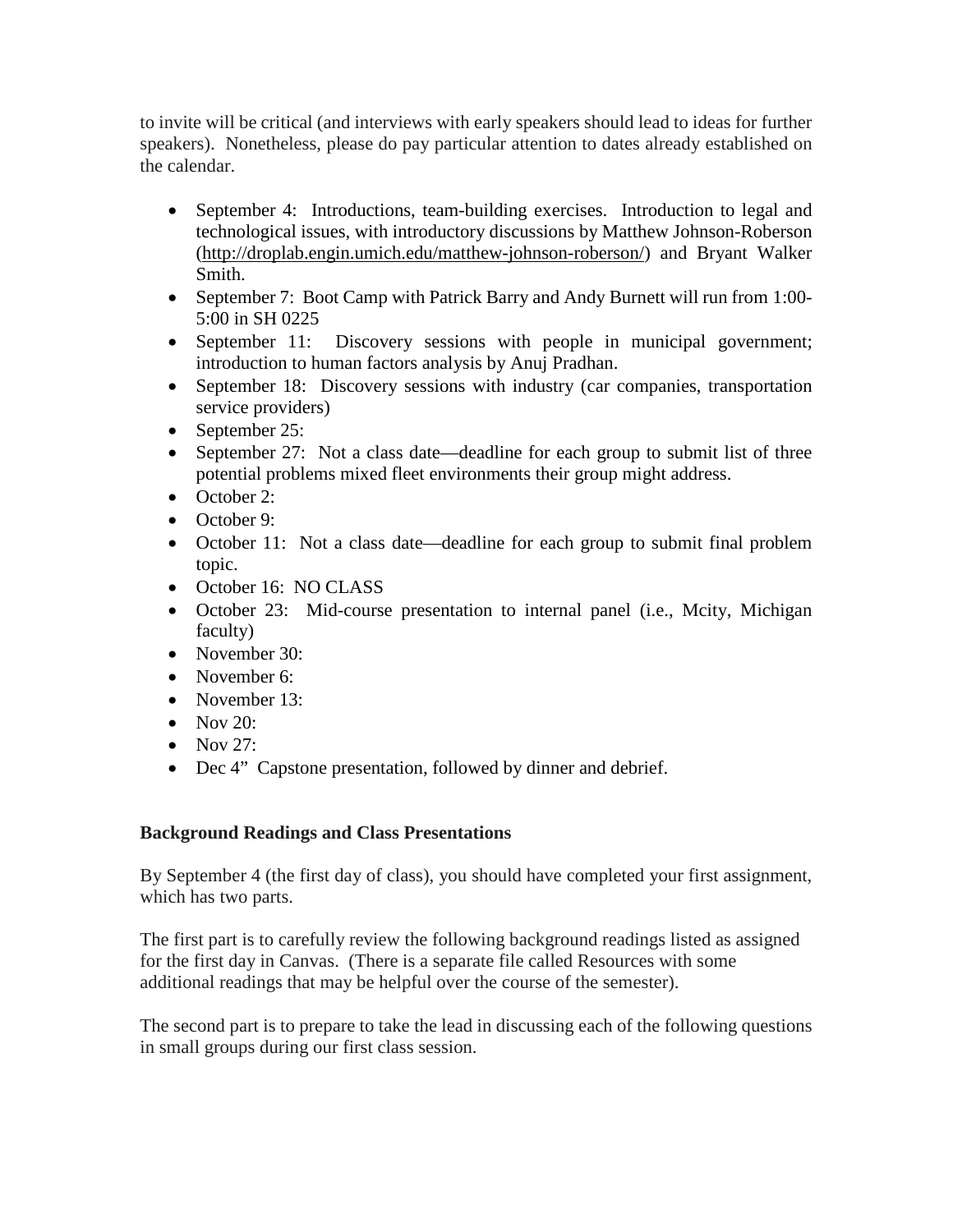to invite will be critical (and interviews with early speakers should lead to ideas for further speakers). Nonetheless, please do pay particular attention to dates already established on the calendar.

- September 4: Introductions, team-building exercises. Introduction to legal and technological issues, with introductory discussions by Matthew Johnson-Roberson [\(http://droplab.engin.umich.edu/matthew-johnson-roberson/\)](http://droplab.engin.umich.edu/matthew-johnson-roberson/) and Bryant Walker Smith.
- September 7: Boot Camp with Patrick Barry and Andy Burnett will run from 1:00-5:00 in SH 0225
- September 11: Discovery sessions with people in municipal government; introduction to human factors analysis by Anuj Pradhan.
- September 18: Discovery sessions with industry (car companies, transportation service providers)
- September 25:
- September 27: Not a class date—deadline for each group to submit list of three potential problems mixed fleet environments their group might address.
- October 2:
- October 9:
- October 11: Not a class date—deadline for each group to submit final problem topic.
- October 16: NO CLASS
- October 23: Mid-course presentation to internal panel (i.e., Mcity, Michigan faculty)
- November 30:
- November 6:
- November 13:
- Nov  $20$ :
- $\bullet$  Nov 27:
- Dec 4" Capstone presentation, followed by dinner and debrief.

# **Background Readings and Class Presentations**

By September 4 (the first day of class), you should have completed your first assignment, which has two parts.

The first part is to carefully review the following background readings listed as assigned for the first day in Canvas. (There is a separate file called Resources with some additional readings that may be helpful over the course of the semester).

The second part is to prepare to take the lead in discussing each of the following questions in small groups during our first class session.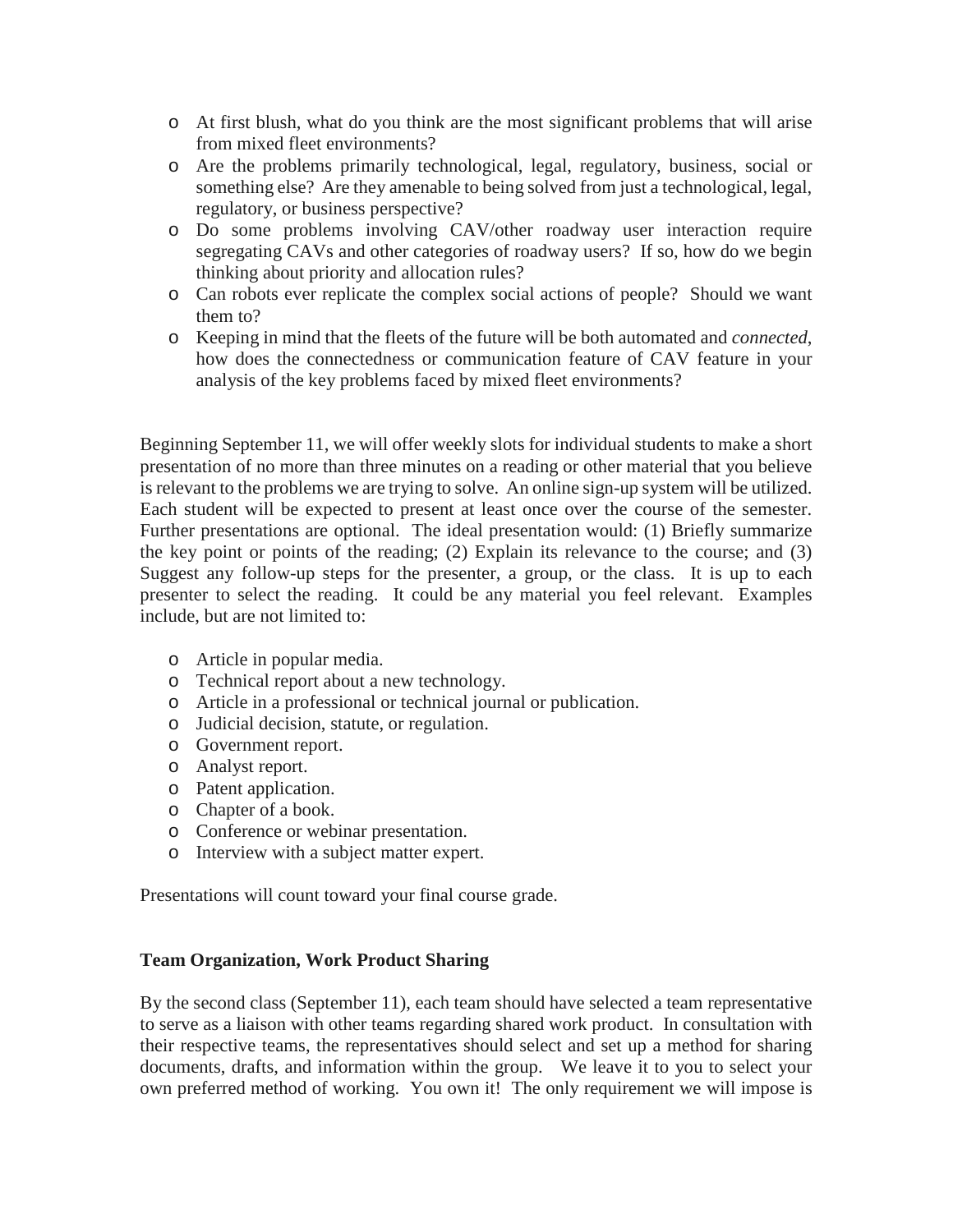- o At first blush, what do you think are the most significant problems that will arise from mixed fleet environments?
- o Are the problems primarily technological, legal, regulatory, business, social or something else? Are they amenable to being solved from just a technological, legal, regulatory, or business perspective?
- o Do some problems involving CAV/other roadway user interaction require segregating CAVs and other categories of roadway users? If so, how do we begin thinking about priority and allocation rules?
- o Can robots ever replicate the complex social actions of people? Should we want them to?
- o Keeping in mind that the fleets of the future will be both automated and *connected*, how does the connectedness or communication feature of CAV feature in your analysis of the key problems faced by mixed fleet environments?

Beginning September 11, we will offer weekly slots for individual students to make a short presentation of no more than three minutes on a reading or other material that you believe is relevant to the problems we are trying to solve. An online sign-up system will be utilized. Each student will be expected to present at least once over the course of the semester. Further presentations are optional. The ideal presentation would: (1) Briefly summarize the key point or points of the reading; (2) Explain its relevance to the course; and (3) Suggest any follow-up steps for the presenter, a group, or the class. It is up to each presenter to select the reading. It could be any material you feel relevant. Examples include, but are not limited to:

- o Article in popular media.
- o Technical report about a new technology.
- o Article in a professional or technical journal or publication.
- o Judicial decision, statute, or regulation.
- o Government report.
- o Analyst report.
- o Patent application.
- o Chapter of a book.
- o Conference or webinar presentation.
- o Interview with a subject matter expert.

Presentations will count toward your final course grade.

#### **Team Organization, Work Product Sharing**

By the second class (September 11), each team should have selected a team representative to serve as a liaison with other teams regarding shared work product. In consultation with their respective teams, the representatives should select and set up a method for sharing documents, drafts, and information within the group. We leave it to you to select your own preferred method of working. You own it! The only requirement we will impose is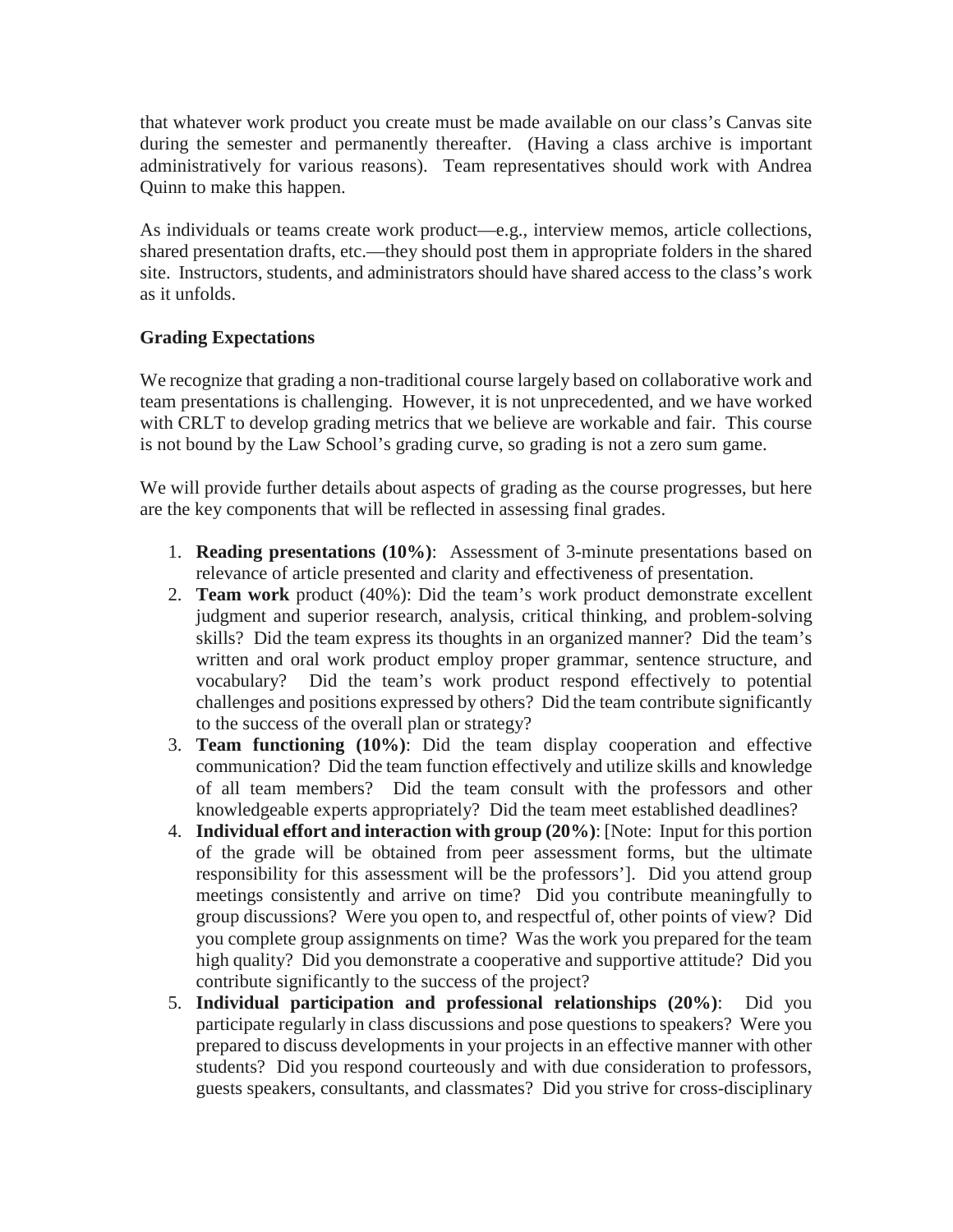that whatever work product you create must be made available on our class's Canvas site during the semester and permanently thereafter. (Having a class archive is important administratively for various reasons). Team representatives should work with Andrea Quinn to make this happen.

As individuals or teams create work product—e.g., interview memos, article collections, shared presentation drafts, etc.—they should post them in appropriate folders in the shared site. Instructors, students, and administrators should have shared access to the class's work as it unfolds.

# **Grading Expectations**

We recognize that grading a non-traditional course largely based on collaborative work and team presentations is challenging. However, it is not unprecedented, and we have worked with CRLT to develop grading metrics that we believe are workable and fair. This course is not bound by the Law School's grading curve, so grading is not a zero sum game.

We will provide further details about aspects of grading as the course progresses, but here are the key components that will be reflected in assessing final grades.

- 1. **Reading presentations (10%)**: Assessment of 3-minute presentations based on relevance of article presented and clarity and effectiveness of presentation.
- 2. **Team work** product (40%): Did the team's work product demonstrate excellent judgment and superior research, analysis, critical thinking, and problem-solving skills? Did the team express its thoughts in an organized manner? Did the team's written and oral work product employ proper grammar, sentence structure, and vocabulary? Did the team's work product respond effectively to potential challenges and positions expressed by others? Did the team contribute significantly to the success of the overall plan or strategy?
- 3. **Team functioning (10%)**: Did the team display cooperation and effective communication? Did the team function effectively and utilize skills and knowledge of all team members? Did the team consult with the professors and other knowledgeable experts appropriately? Did the team meet established deadlines?
- 4. **Individual effort and interaction with group (20%)**: [Note: Input for this portion of the grade will be obtained from peer assessment forms, but the ultimate responsibility for this assessment will be the professors']. Did you attend group meetings consistently and arrive on time? Did you contribute meaningfully to group discussions? Were you open to, and respectful of, other points of view? Did you complete group assignments on time? Was the work you prepared for the team high quality? Did you demonstrate a cooperative and supportive attitude? Did you contribute significantly to the success of the project?
- 5. **Individual participation and professional relationships (20%)**: Did you participate regularly in class discussions and pose questions to speakers? Were you prepared to discuss developments in your projects in an effective manner with other students? Did you respond courteously and with due consideration to professors, guests speakers, consultants, and classmates? Did you strive for cross-disciplinary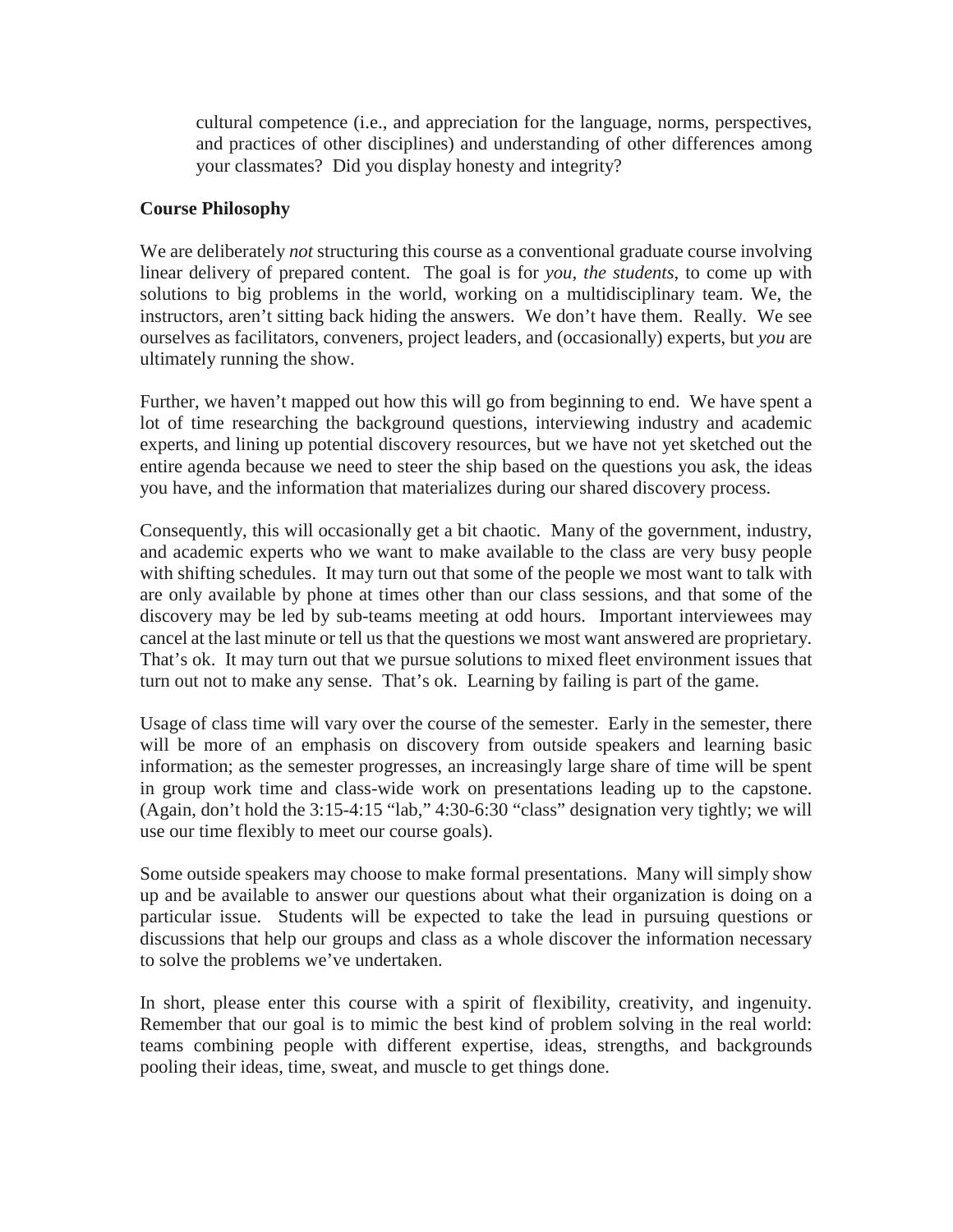cultural competence (i.e., and appreciation for the language, norms, perspectives, and practices of other disciplines) and understanding of other differences among your classmates? Did you display honesty and integrity?

# **Course Philosophy**

We are deliberately *not* structuring this course as a conventional graduate course involving linear delivery of prepared content. The goal is for *you, the students*, to come up with solutions to big problems in the world, working on a multidisciplinary team. We, the instructors, aren't sitting back hiding the answers. We don't have them. Really. We see ourselves as facilitators, conveners, project leaders, and (occasionally) experts, but *you* are ultimately running the show.

Further, we haven't mapped out how this will go from beginning to end. We have spent a lot of time researching the background questions, interviewing industry and academic experts, and lining up potential discovery resources, but we have not yet sketched out the entire agenda because we need to steer the ship based on the questions you ask, the ideas you have, and the information that materializes during our shared discovery process.

Consequently, this will occasionally get a bit chaotic. Many of the government, industry, and academic experts who we want to make available to the class are very busy people with shifting schedules. It may turn out that some of the people we most want to talk with are only available by phone at times other than our class sessions, and that some of the discovery may be led by sub-teams meeting at odd hours. Important interviewees may cancel at the last minute or tell us that the questions we most want answered are proprietary. That's ok. It may turn out that we pursue solutions to mixed fleet environment issues that turn out not to make any sense. That's ok. Learning by failing is part of the game.

Usage of class time will vary over the course of the semester. Early in the semester, there will be more of an emphasis on discovery from outside speakers and learning basic information; as the semester progresses, an increasingly large share of time will be spent in group work time and class-wide work on presentations leading up to the capstone. (Again, don't hold the 3:15-4:15 "lab," 4:30-6:30 "class" designation very tightly; we will use our time flexibly to meet our course goals).

Some outside speakers may choose to make formal presentations. Many will simply show up and be available to answer our questions about what their organization is doing on a particular issue. Students will be expected to take the lead in pursuing questions or discussions that help our groups and class as a whole discover the information necessary to solve the problems we've undertaken.

In short, please enter this course with a spirit of flexibility, creativity, and ingenuity. Remember that our goal is to mimic the best kind of problem solving in the real world: teams combining people with different expertise, ideas, strengths, and backgrounds pooling their ideas, time, sweat, and muscle to get things done.